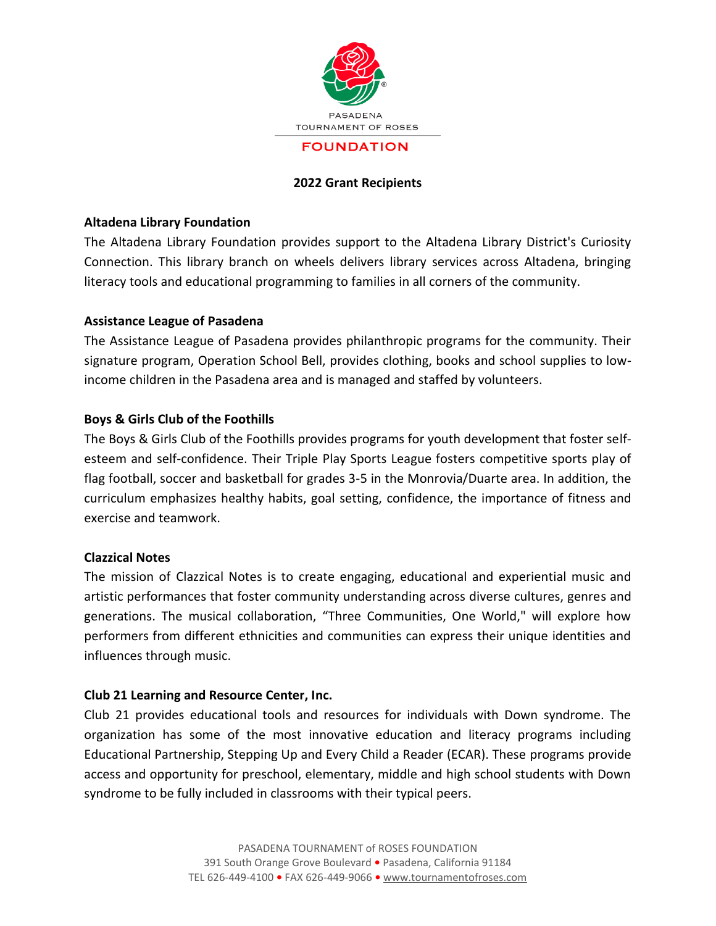

## **2022 Grant Recipients**

### **Altadena Library Foundation**

The Altadena Library Foundation provides support to the Altadena Library District's Curiosity Connection. This library branch on wheels delivers library services across Altadena, bringing literacy tools and educational programming to families in all corners of the community.

## **Assistance League of Pasadena**

The Assistance League of Pasadena provides philanthropic programs for the community. Their signature program, Operation School Bell, provides clothing, books and school supplies to lowincome children in the Pasadena area and is managed and staffed by volunteers.

# **Boys & Girls Club of the Foothills**

The Boys & Girls Club of the Foothills provides programs for youth development that foster selfesteem and self-confidence. Their Triple Play Sports League fosters competitive sports play of flag football, soccer and basketball for grades 3-5 in the Monrovia/Duarte area. In addition, the curriculum emphasizes healthy habits, goal setting, confidence, the importance of fitness and exercise and teamwork.

#### **Clazzical Notes**

The mission of Clazzical Notes is to create engaging, educational and experiential music and artistic performances that foster community understanding across diverse cultures, genres and generations. The musical collaboration, "Three Communities, One World," will explore how performers from different ethnicities and communities can express their unique identities and influences through music.

#### **Club 21 Learning and Resource Center, Inc.**

Club 21 provides educational tools and resources for individuals with Down syndrome. The organization has some of the most innovative education and literacy programs including Educational Partnership, Stepping Up and Every Child a Reader (ECAR). These programs provide access and opportunity for preschool, elementary, middle and high school students with Down syndrome to be fully included in classrooms with their typical peers.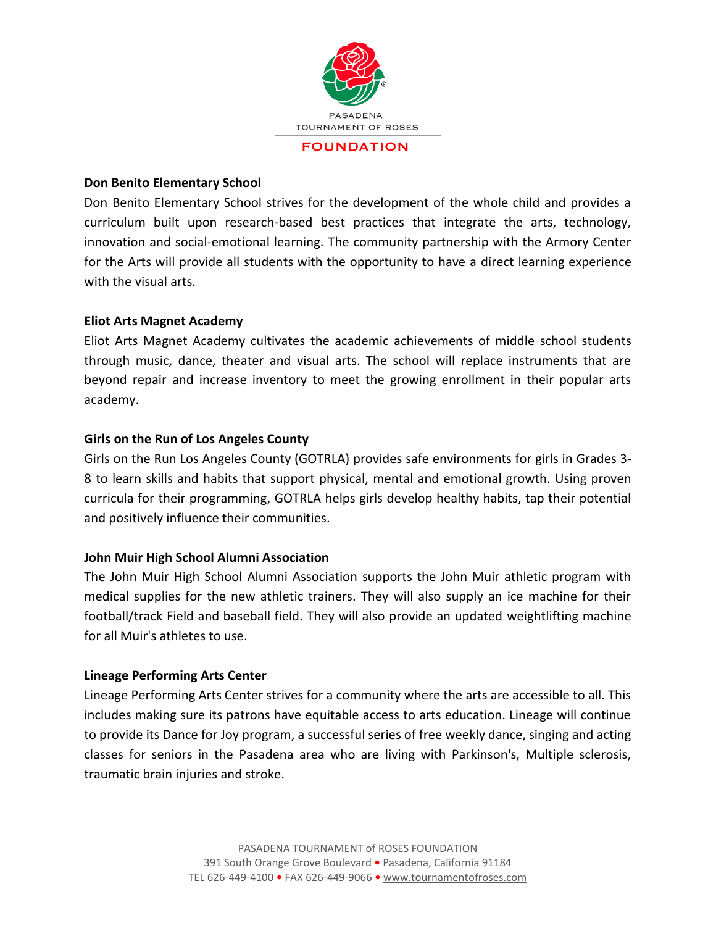

### **Don Benito Elementary School**

Don Benito Elementary School strives for the development of the whole child and provides a curriculum built upon research-based best practices that integrate the arts, technology, innovation and social-emotional learning. The community partnership with the Armory Center for the Arts will provide all students with the opportunity to have a direct learning experience with the visual arts.

# **Eliot Arts Magnet Academy**

Eliot Arts Magnet Academy cultivates the academic achievements of middle school students through music, dance, theater and visual arts. The school will replace instruments that are beyond repair and increase inventory to meet the growing enrollment in their popular arts academy.

## **Girls on the Run of Los Angeles County**

Girls on the Run Los Angeles County (GOTRLA) provides safe environments for girls in Grades 3- 8 to learn skills and habits that support physical, mental and emotional growth. Using proven curricula for their programming, GOTRLA helps girls develop healthy habits, tap their potential and positively influence their communities.

#### **John Muir High School Alumni Association**

The John Muir High School Alumni Association supports the John Muir athletic program with medical supplies for the new athletic trainers. They will also supply an ice machine for their football/track Field and baseball field. They will also provide an updated weightlifting machine for all Muir's athletes to use.

#### **Lineage Performing Arts Center**

Lineage Performing Arts Center strives for a community where the arts are accessible to all. This includes making sure its patrons have equitable access to arts education. Lineage will continue to provide its Dance for Joy program, a successful series of free weekly dance, singing and acting classes for seniors in the Pasadena area who are living with Parkinson's, Multiple sclerosis, traumatic brain injuries and stroke.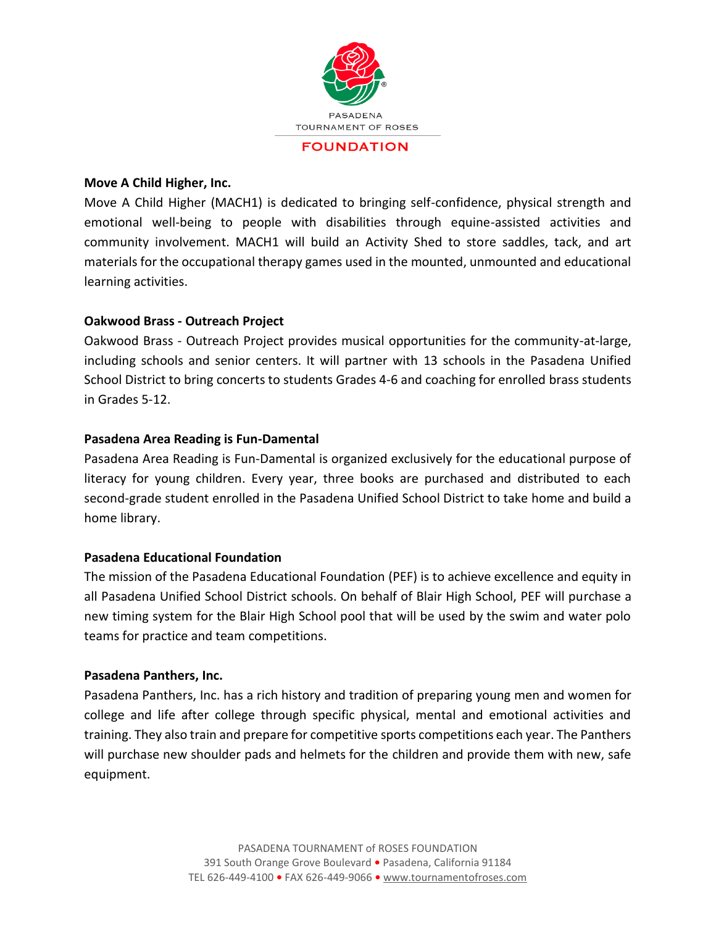

#### **Move A Child Higher, Inc.**

Move A Child Higher (MACH1) is dedicated to bringing self-confidence, physical strength and emotional well-being to people with disabilities through equine-assisted activities and community involvement. MACH1 will build an Activity Shed to store saddles, tack, and art materials for the occupational therapy games used in the mounted, unmounted and educational learning activities.

# **Oakwood Brass - Outreach Project**

Oakwood Brass - Outreach Project provides musical opportunities for the community-at-large, including schools and senior centers. It will partner with 13 schools in the Pasadena Unified School District to bring concerts to students Grades 4-6 and coaching for enrolled brass students in Grades 5-12.

## **Pasadena Area Reading is Fun-Damental**

Pasadena Area Reading is Fun-Damental is organized exclusively for the educational purpose of literacy for young children. Every year, three books are purchased and distributed to each second-grade student enrolled in the Pasadena Unified School District to take home and build a home library.

#### **Pasadena Educational Foundation**

The mission of the Pasadena Educational Foundation (PEF) is to achieve excellence and equity in all Pasadena Unified School District schools. On behalf of Blair High School, PEF will purchase a new timing system for the Blair High School pool that will be used by the swim and water polo teams for practice and team competitions.

#### **Pasadena Panthers, Inc.**

Pasadena Panthers, Inc. has a rich history and tradition of preparing young men and women for college and life after college through specific physical, mental and emotional activities and training. They also train and prepare for competitive sports competitions each year. The Panthers will purchase new shoulder pads and helmets for the children and provide them with new, safe equipment.